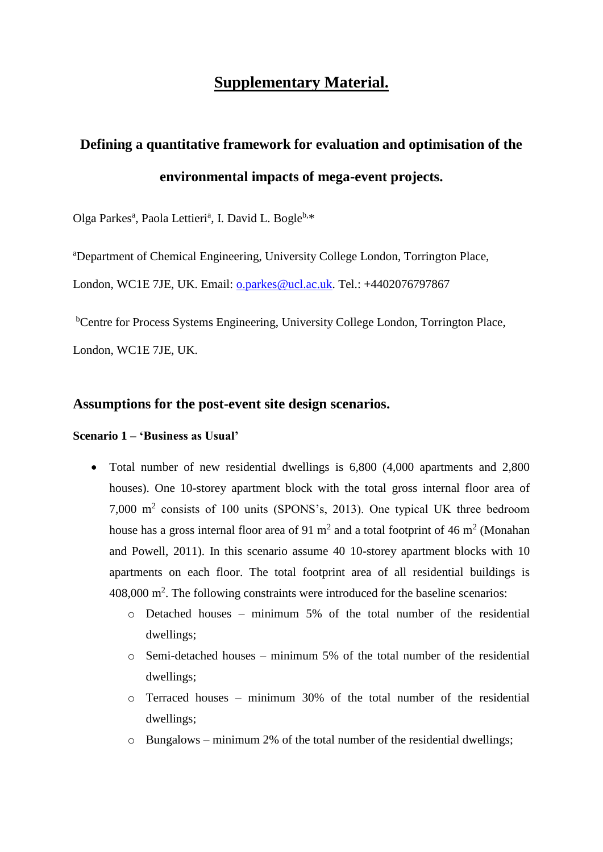## **Supplementary Material.**

# **Defining a quantitative framework for evaluation and optimisation of the environmental impacts of mega-event projects.**

Olga Parkes<sup>a</sup>, Paola Lettieri<sup>a</sup>, I. David L. Bogle<sup>b,\*</sup>

<sup>a</sup>Department of Chemical Engineering, University College London, Torrington Place,

London, WC1E 7JE, UK. Email: [o.parkes@ucl.ac.uk.](mailto:o.parkes@ucl.ac.uk) Tel.: +4402076797867

<sup>b</sup>Centre for Process Systems Engineering, University College London, Torrington Place,

London, WC1E 7JE, UK.

#### **Assumptions for the post-event site design scenarios.**

#### **Scenario 1 – 'Business as Usual'**

- Total number of new residential dwellings is 6,800 (4,000 apartments and 2,800 houses). One 10-storey apartment block with the total gross internal floor area of 7,000 m<sup>2</sup> consists of 100 units (SPONS's, 2013). One typical UK three bedroom house has a gross internal floor area of 91  $m^2$  and a total footprint of 46  $m^2$  (Monahan and Powell, 2011). In this scenario assume 40 10-storey apartment blocks with 10 apartments on each floor. The total footprint area of all residential buildings is 408,000 m<sup>2</sup> . The following constraints were introduced for the baseline scenarios:
	- o Detached houses minimum 5% of the total number of the residential dwellings;
	- $\circ$  Semi-detached houses minimum 5% of the total number of the residential dwellings;
	- o Terraced houses minimum 30% of the total number of the residential dwellings;
	- o Bungalows minimum 2% of the total number of the residential dwellings;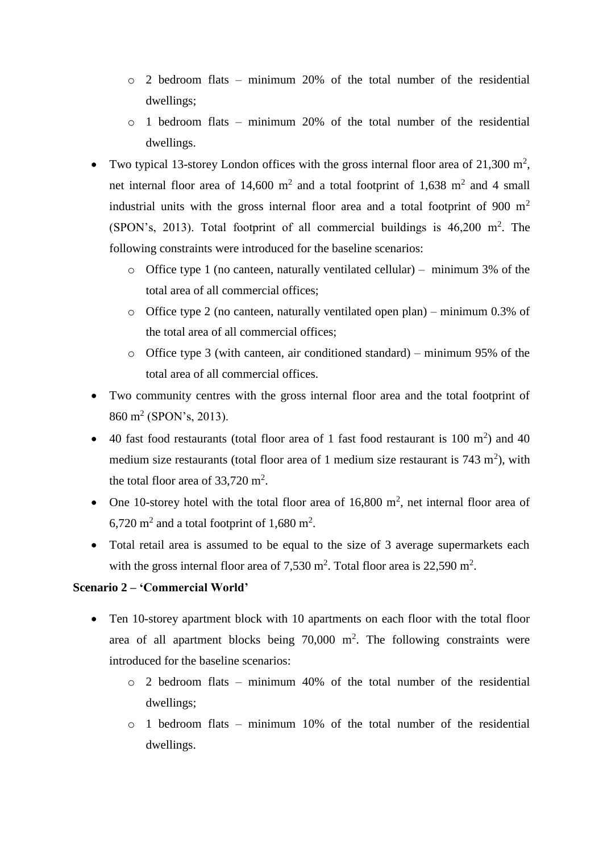- o 2 bedroom flats minimum 20% of the total number of the residential dwellings;
- $\circ$  1 bedroom flats minimum 20% of the total number of the residential dwellings.
- Two typical 13-storey London offices with the gross internal floor area of 21,300  $m^2$ , net internal floor area of 14,600  $m^2$  and a total footprint of 1,638  $m^2$  and 4 small industrial units with the gross internal floor area and a total footprint of 900  $m<sup>2</sup>$ (SPON's, 2013). Total footprint of all commercial buildings is  $46,200 \text{ m}^2$ . The following constraints were introduced for the baseline scenarios:
	- o Office type 1 (no canteen, naturally ventilated cellular) minimum 3% of the total area of all commercial offices;
	- o Office type 2 (no canteen, naturally ventilated open plan) minimum 0.3% of the total area of all commercial offices;
	- o Office type 3 (with canteen, air conditioned standard) minimum 95% of the total area of all commercial offices.
- Two community centres with the gross internal floor area and the total footprint of 860 m<sup>2</sup> (SPON's, 2013).
- 40 fast food restaurants (total floor area of 1 fast food restaurant is  $100 \text{ m}^2$ ) and  $40$ medium size restaurants (total floor area of 1 medium size restaurant is  $743 \text{ m}^2$ ), with the total floor area of  $33,720 \text{ m}^2$ .
- One 10-storey hotel with the total floor area of 16,800  $m^2$ , net internal floor area of  $6,720 \text{ m}^2$  and a total footprint of 1,680 m<sup>2</sup>.
- Total retail area is assumed to be equal to the size of 3 average supermarkets each with the gross internal floor area of  $7,530$  m<sup>2</sup>. Total floor area is  $22,590$  m<sup>2</sup>.

#### **Scenario 2 – 'Commercial World'**

- Ten 10-storey apartment block with 10 apartments on each floor with the total floor area of all apartment blocks being  $70,000$  m<sup>2</sup>. The following constraints were introduced for the baseline scenarios:
	- o 2 bedroom flats minimum 40% of the total number of the residential dwellings;
	- o 1 bedroom flats minimum 10% of the total number of the residential dwellings.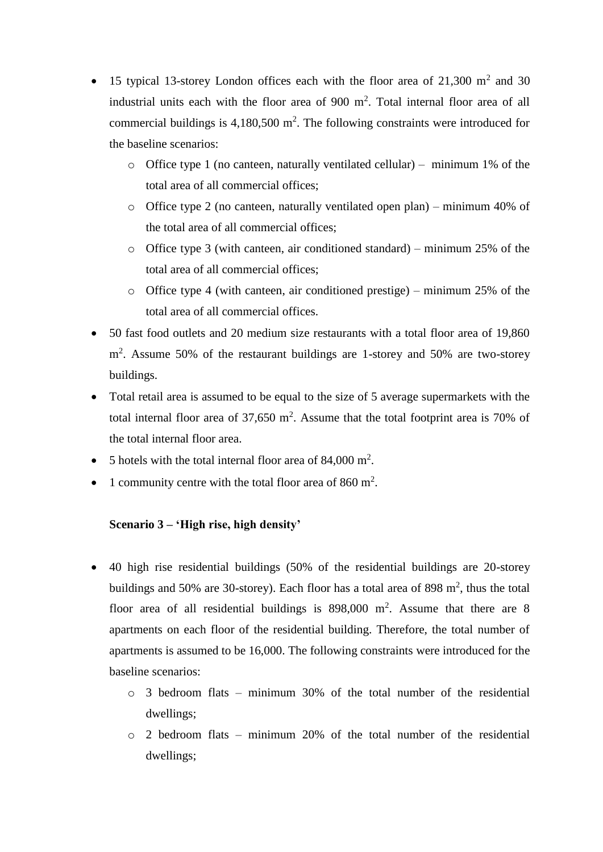- 15 typical 13-storey London offices each with the floor area of  $21,300$  m<sup>2</sup> and 30 industrial units each with the floor area of 900 m<sup>2</sup>. Total internal floor area of all commercial buildings is  $4,180,500$  m<sup>2</sup>. The following constraints were introduced for the baseline scenarios:
	- $\circ$  Office type 1 (no canteen, naturally ventilated cellular) minimum 1% of the total area of all commercial offices;
	- o Office type 2 (no canteen, naturally ventilated open plan) minimum 40% of the total area of all commercial offices;
	- o Office type 3 (with canteen, air conditioned standard) minimum 25% of the total area of all commercial offices;
	- o Office type 4 (with canteen, air conditioned prestige) minimum 25% of the total area of all commercial offices.
- 50 fast food outlets and 20 medium size restaurants with a total floor area of 19,860 m<sup>2</sup>. Assume 50% of the restaurant buildings are 1-storey and 50% are two-storey buildings.
- Total retail area is assumed to be equal to the size of 5 average supermarkets with the total internal floor area of 37,650  $m^2$ . Assume that the total footprint area is 70% of the total internal floor area.
- 5 hotels with the total internal floor area of  $84,000 \text{ m}^2$ .
- 1 community centre with the total floor area of 860  $m^2$ .

#### **Scenario 3 – 'High rise, high density'**

- 40 high rise residential buildings (50% of the residential buildings are 20-storey buildings and 50% are 30-storey). Each floor has a total area of 898  $m^2$ , thus the total floor area of all residential buildings is  $898,000$  m<sup>2</sup>. Assume that there are 8 apartments on each floor of the residential building. Therefore, the total number of apartments is assumed to be 16,000. The following constraints were introduced for the baseline scenarios:
	- $\circ$  3 bedroom flats minimum 30% of the total number of the residential dwellings;
	- o 2 bedroom flats minimum 20% of the total number of the residential dwellings;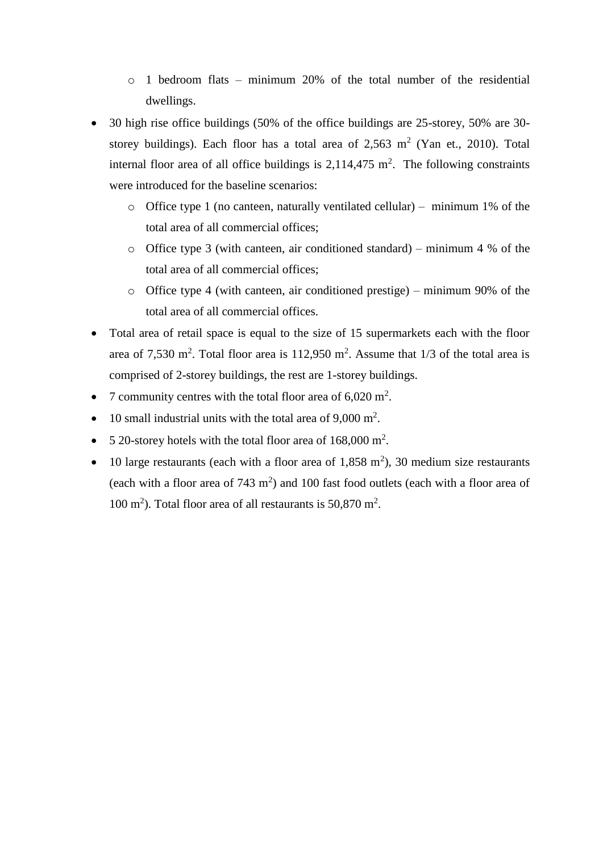- o 1 bedroom flats minimum 20% of the total number of the residential dwellings.
- 30 high rise office buildings (50% of the office buildings are 25-storey, 50% are 30 storey buildings). Each floor has a total area of  $2,563 \text{ m}^2$  (Yan et., 2010). Total internal floor area of all office buildings is  $2,114,475$  m<sup>2</sup>. The following constraints were introduced for the baseline scenarios:
	- $\circ$  Office type 1 (no canteen, naturally ventilated cellular) minimum 1% of the total area of all commercial offices;
	- o Office type 3 (with canteen, air conditioned standard) minimum 4 % of the total area of all commercial offices;
	- o Office type 4 (with canteen, air conditioned prestige) minimum 90% of the total area of all commercial offices.
- Total area of retail space is equal to the size of 15 supermarkets each with the floor area of 7,530 m<sup>2</sup>. Total floor area is 112,950 m<sup>2</sup>. Assume that  $1/3$  of the total area is comprised of 2-storey buildings, the rest are 1-storey buildings.
- 7 community centres with the total floor area of  $6,020 \text{ m}^2$ .
- 10 small industrial units with the total area of  $9,000 \text{ m}^2$ .
- 5 20-storey hotels with the total floor area of  $168,000 \text{ m}^2$ .
- 10 large restaurants (each with a floor area of 1,858 m<sup>2</sup>), 30 medium size restaurants (each with a floor area of  $743 \text{ m}^2$ ) and 100 fast food outlets (each with a floor area of 100 m<sup>2</sup>). Total floor area of all restaurants is 50,870 m<sup>2</sup>.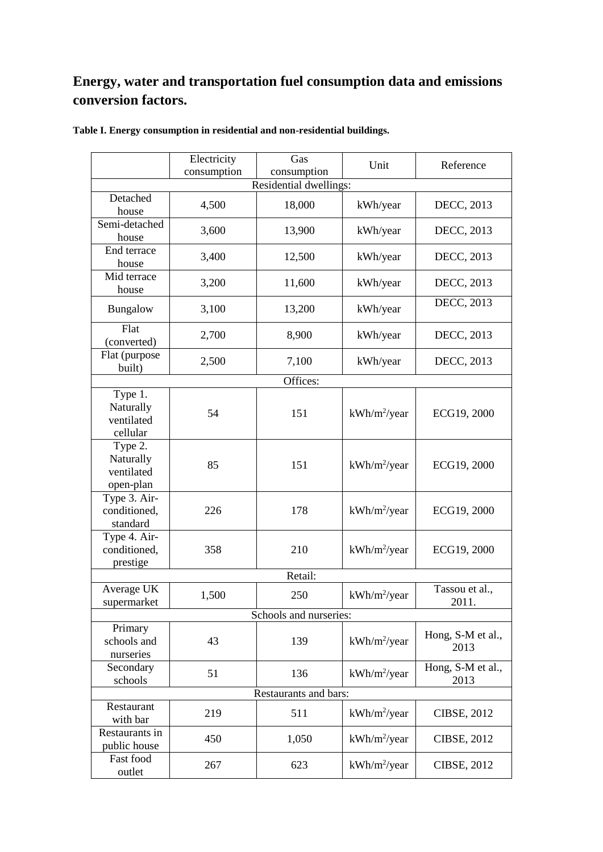### **Energy, water and transportation fuel consumption data and emissions conversion factors.**

|                                                 | Electricity | Gas                    | Unit            | Reference                 |
|-------------------------------------------------|-------------|------------------------|-----------------|---------------------------|
|                                                 | consumption | consumption            |                 |                           |
|                                                 |             | Residential dwellings: |                 |                           |
| Detached<br>house                               | 4,500       | 18,000                 | kWh/year        | DECC, 2013                |
| Semi-detached<br>house                          | 3,600       | 13,900                 | kWh/year        | DECC, 2013                |
| End terrace<br>house                            | 3,400       | 12,500                 | kWh/year        | DECC, 2013                |
| Mid terrace<br>house                            | 3,200       | 11,600                 | kWh/year        | DECC, 2013                |
| Bungalow                                        | 3,100       | 13,200                 | kWh/year        | DECC, 2013                |
| Flat<br>(converted)                             | 2,700       | 8,900                  | kWh/year        | DECC, 2013                |
| Flat (purpose<br>built)                         | 2,500       | 7,100                  | kWh/year        | DECC, 2013                |
|                                                 |             | Offices:               |                 |                           |
| Type 1.<br>Naturally<br>ventilated<br>cellular  | 54          | 151                    | $kWh/m^2$ /year | ECG19, 2000               |
| Type 2.<br>Naturally<br>ventilated<br>open-plan | 85          | 151                    | $kWh/m^2$ /year | ECG19, 2000               |
| Type 3. Air-<br>conditioned,<br>standard        | 226         | 178                    | $kWh/m^2$ /year | ECG19, 2000               |
| Type 4. Air-<br>conditioned,<br>prestige        | 358         | 210                    | $kWh/m^2$ /year | ECG19, 2000               |
|                                                 |             | Retail:                |                 |                           |
| Average UK<br>sunermarket                       | 1,500       | 250                    | $kWh/m^2$ /year | Tassou et al.,<br>2011    |
| Schools and nurseries:                          |             |                        |                 |                           |
| Primary<br>schools and<br>nurseries             | 43          | 139                    | $kWh/m^2$ /year | Hong, S-M et al.,<br>2013 |
| Secondary<br>schools                            | 51          | 136                    | $kWh/m^2$ /year | Hong, S-M et al.,<br>2013 |
| Restaurants and bars:                           |             |                        |                 |                           |
| Restaurant<br>with bar                          | 219         | 511                    | $kWh/m^2$ /year | <b>CIBSE, 2012</b>        |
| Restaurants in<br>public house                  | 450         | 1,050                  | $kWh/m^2$ /year | CIBSE, 2012               |
| Fast food<br>outlet                             | 267         | 623                    | $kWh/m^2$ /year | CIBSE, 2012               |

**Table I. Energy consumption in residential and non-residential buildings.**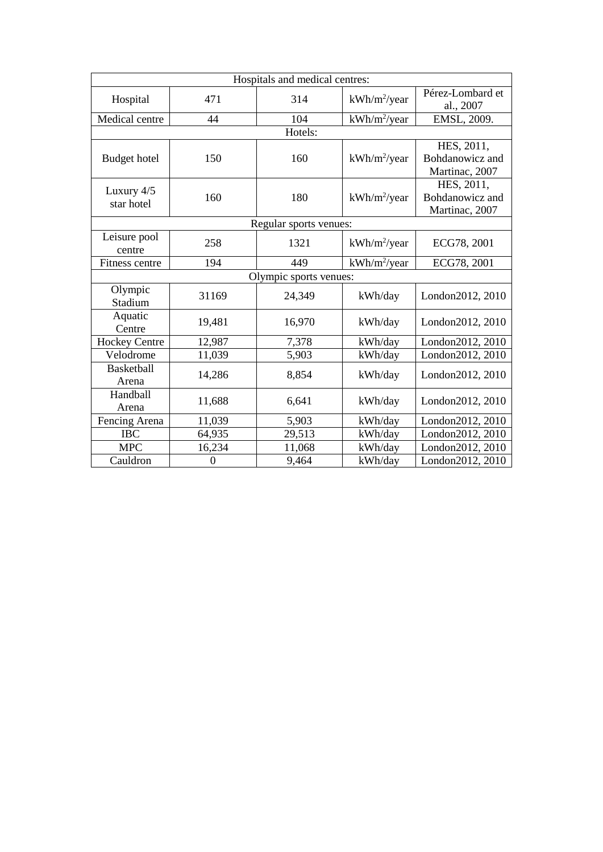| Hospitals and medical centres: |                  |                        |                          |                                                 |
|--------------------------------|------------------|------------------------|--------------------------|-------------------------------------------------|
| Hospital                       | 471              | 314                    | kWh/m <sup>2</sup> /year | Pérez-Lombard et<br>al., 2007                   |
| Medical centre                 | 44               | 104                    | $kWh/m^2$ /year          | EMSL, 2009.                                     |
|                                |                  | Hotels:                |                          |                                                 |
| <b>Budget hotel</b>            | 150              | 160                    | kWh/m <sup>2</sup> /year | HES, 2011,<br>Bohdanowicz and<br>Martinac, 2007 |
| Luxury 4/5<br>star hotel       | 160              | 180                    | kWh/m <sup>2</sup> /year | HES, 2011,<br>Bohdanowicz and<br>Martinac, 2007 |
|                                |                  | Regular sports venues: |                          |                                                 |
| Leisure pool<br>centre         | 258              | 1321                   | $kWh/m^2$ /year          | ECG78, 2001                                     |
| Fitness centre                 | 194              | 449                    | kWh/m <sup>2</sup> /year | ECG78, 2001                                     |
| Olympic sports venues:         |                  |                        |                          |                                                 |
| Olympic<br>Stadium             | 31169            | 24,349                 | kWh/day                  | London2012, 2010                                |
| Aquatic<br>Centre              | 19,481           | 16,970                 | kWh/day                  | London2012, 2010                                |
| <b>Hockey Centre</b>           | 12,987           | 7,378                  | kWh/day                  | London2012, 2010                                |
| Velodrome                      | 11,039           | 5,903                  | kWh/day                  | London2012, 2010                                |
| <b>Basketball</b><br>Arena     | 14,286           | 8,854                  | kWh/day                  | London2012, 2010                                |
| Handball<br>Arena              | 11,688           | 6,641                  | kWh/day                  | London2012, 2010                                |
| Fencing Arena                  | 11,039           | 5,903                  | kWh/day                  | London2012, 2010                                |
| $\rm{IBC}$                     | 64,935           | 29,513                 | kWh/day                  | London2012, 2010                                |
| <b>MPC</b>                     | 16,234           | 11,068                 | kWh/day                  | London2012, 2010                                |
| Cauldron                       | $\boldsymbol{0}$ | 9,464                  | kWh/day                  | London2012, 2010                                |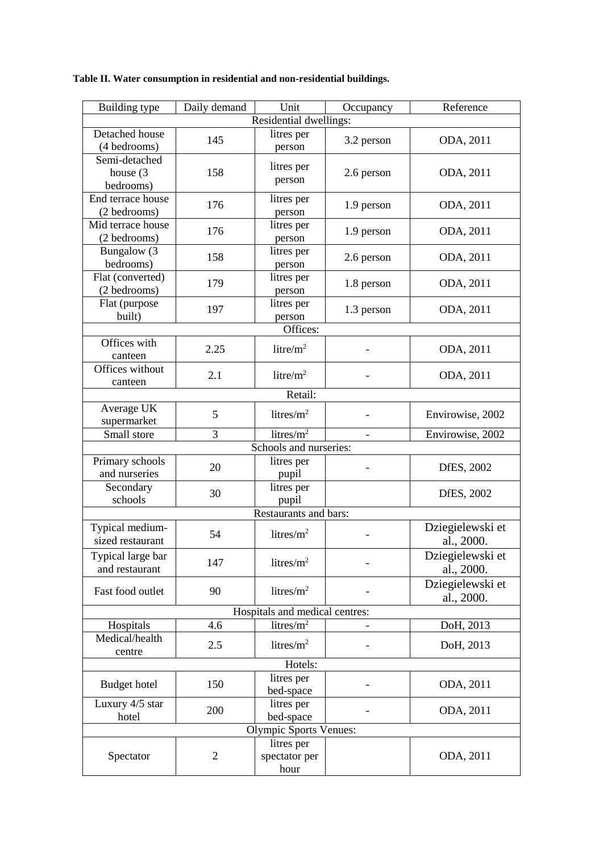| Building type                 | Daily demand   | Unit                                            | Occupancy  | Reference        |  |
|-------------------------------|----------------|-------------------------------------------------|------------|------------------|--|
|                               |                | Residential dwellings:                          |            |                  |  |
| Detached house                | 145            | litres per                                      | 3.2 person | ODA, 2011        |  |
| (4 bedrooms)                  |                | person                                          |            |                  |  |
| Semi-detached                 |                | litres per                                      |            |                  |  |
| house $(3)$                   | 158            | person                                          | 2.6 person | ODA, 2011        |  |
| bedrooms)                     |                |                                                 |            |                  |  |
| End terrace house             | 176            | litres per                                      | 1.9 person | ODA, 2011        |  |
| (2 bedrooms)                  |                | person                                          |            |                  |  |
| Mid terrace house             | 176            | litres per                                      | 1.9 person | ODA, 2011        |  |
| (2 bedrooms)                  |                | person                                          |            |                  |  |
| Bungalow (3                   | 158            | litres per                                      | 2.6 person | ODA, 2011        |  |
| bedrooms)                     |                | person                                          |            |                  |  |
| Flat (converted)              | 179            | litres per                                      | 1.8 person | ODA, 2011        |  |
| (2 bedrooms)                  |                | person                                          |            |                  |  |
| Flat (purpose<br>built)       | 197            | litres per<br>person                            | 1.3 person | ODA, 2011        |  |
|                               |                | Offices:                                        |            |                  |  |
| Offices with                  |                |                                                 |            |                  |  |
| canteen                       | 2.25           | litre/ $m^2$                                    |            | ODA, 2011        |  |
| Offices without               |                |                                                 |            |                  |  |
| canteen                       | 2.1            | litre/ $m2$                                     |            | ODA, 2011        |  |
|                               |                | Retail:                                         |            |                  |  |
| Average UK                    |                |                                                 |            |                  |  |
| supermarket                   | 5              | litres/ $m^2$                                   |            | Envirowise, 2002 |  |
| Small store                   | 3              | litres/ $m^2$                                   |            | Envirowise, 2002 |  |
|                               |                | Schools and nurseries:                          |            |                  |  |
| Primary schools               |                | litres per                                      |            |                  |  |
| and nurseries                 | 20             | pupil                                           |            | DfES, 2002       |  |
| Secondary                     |                | litres per                                      |            |                  |  |
| schools                       | 30             | pupil                                           |            | DfES, 2002       |  |
| Restaurants and bars:         |                |                                                 |            |                  |  |
| Typical medium-               |                |                                                 |            | Dziegielewski et |  |
| sized restaurant              | 54             | litres/ $m^2$                                   |            | al., 2000.       |  |
| Typical large bar             |                |                                                 |            | Dziegielewski et |  |
| and restaurant                | 147            | litres/ $m^2$                                   |            | al., 2000.       |  |
|                               |                |                                                 |            | Dziegielewski et |  |
| Fast food outlet              | 90             | litres/ $m^2$                                   |            | al., 2000.       |  |
|                               |                |                                                 |            |                  |  |
| Hospitals                     | 4.6            | Hospitals and medical centres:<br>litres/ $m^2$ |            | DoH, 2013        |  |
| Medical/health                |                |                                                 |            |                  |  |
|                               | 2.5            | litres/ $m^2$                                   |            | DoH, 2013        |  |
| centre                        |                | Hotels:                                         |            |                  |  |
| litres per                    |                |                                                 |            |                  |  |
| <b>Budget hotel</b>           | 150            | bed-space                                       |            | ODA, 2011        |  |
| Luxury 4/5 star               |                | litres per                                      |            |                  |  |
| hotel                         | 200            | bed-space                                       |            | ODA, 2011        |  |
| <b>Olympic Sports Venues:</b> |                |                                                 |            |                  |  |
|                               |                | litres per                                      |            |                  |  |
| Spectator                     | $\overline{2}$ | spectator per                                   |            | ODA, 2011        |  |
|                               |                | hour                                            |            |                  |  |

**Table II. Water consumption in residential and non-residential buildings.**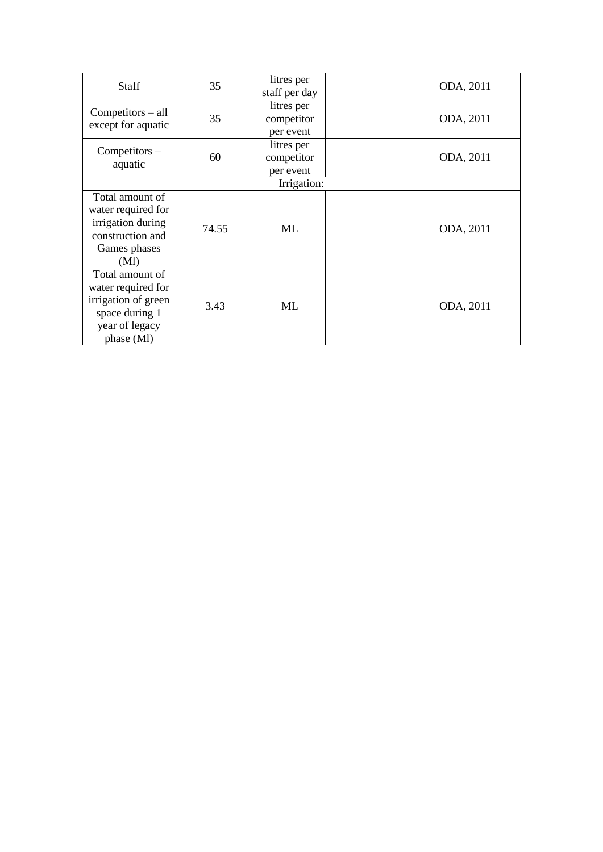| litres per<br>$Competitors - all$<br>35<br>ODA, 2011<br>competitor<br>except for aquatic<br>per event<br>litres per<br>$Competitors -$<br>60<br>competitor<br>ODA, 2011<br>aquatic<br>per event<br>Irrigation:<br>Total amount of<br>water required for | Staff             | 35    | litres per    |  | ODA, 2011 |  |  |
|---------------------------------------------------------------------------------------------------------------------------------------------------------------------------------------------------------------------------------------------------------|-------------------|-------|---------------|--|-----------|--|--|
|                                                                                                                                                                                                                                                         |                   |       | staff per day |  |           |  |  |
|                                                                                                                                                                                                                                                         |                   |       |               |  |           |  |  |
|                                                                                                                                                                                                                                                         |                   |       |               |  |           |  |  |
|                                                                                                                                                                                                                                                         |                   |       |               |  |           |  |  |
|                                                                                                                                                                                                                                                         |                   |       |               |  |           |  |  |
|                                                                                                                                                                                                                                                         |                   |       |               |  |           |  |  |
|                                                                                                                                                                                                                                                         |                   |       |               |  |           |  |  |
|                                                                                                                                                                                                                                                         |                   |       |               |  |           |  |  |
|                                                                                                                                                                                                                                                         |                   |       |               |  |           |  |  |
|                                                                                                                                                                                                                                                         |                   |       |               |  |           |  |  |
|                                                                                                                                                                                                                                                         | irrigation during | 74.55 | ML            |  | ODA, 2011 |  |  |
| construction and                                                                                                                                                                                                                                        |                   |       |               |  |           |  |  |
| Games phases                                                                                                                                                                                                                                            |                   |       |               |  |           |  |  |
| (Ml)                                                                                                                                                                                                                                                    |                   |       |               |  |           |  |  |
| Total amount of                                                                                                                                                                                                                                         |                   |       |               |  |           |  |  |
| water required for                                                                                                                                                                                                                                      |                   |       |               |  |           |  |  |
| irrigation of green                                                                                                                                                                                                                                     |                   |       | ML            |  |           |  |  |
| ODA, 2011<br>space during 1                                                                                                                                                                                                                             |                   | 3.43  |               |  |           |  |  |
| year of legacy                                                                                                                                                                                                                                          |                   |       |               |  |           |  |  |
| phase (MI)                                                                                                                                                                                                                                              |                   |       |               |  |           |  |  |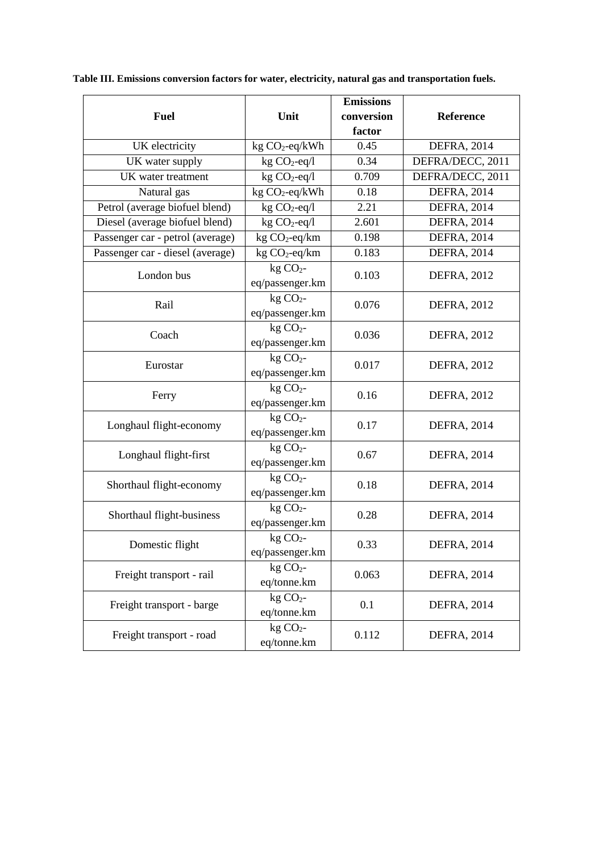|                                  |                                       | <b>Emissions</b> |                    |
|----------------------------------|---------------------------------------|------------------|--------------------|
| <b>Fuel</b>                      | Unit                                  | conversion       | <b>Reference</b>   |
|                                  |                                       | factor           |                    |
| UK electricity                   | $kg CO2-eq/kWh$                       | 0.45             | <b>DEFRA, 2014</b> |
| UK water supply                  | $kg CO2-eq/l$                         | 0.34             | DEFRA/DECC, 2011   |
| UK water treatment               | $\overline{\text{kg CO}}_2$ -eq/l     | 0.709            | DEFRA/DECC, 2011   |
| Natural gas                      | kg CO <sub>2</sub> -eq/kWh            | 0.18             | <b>DEFRA, 2014</b> |
| Petrol (average biofuel blend)   | kg CO <sub>2</sub> -eq/l              | 2.21             | <b>DEFRA, 2014</b> |
| Diesel (average biofuel blend)   | $kg CO2-eq/l$                         | 2.601            | <b>DEFRA, 2014</b> |
| Passenger car - petrol (average) | kg CO <sub>2</sub> -eq/km             | 0.198            | <b>DEFRA, 2014</b> |
| Passenger car - diesel (average) | $kg CO2-eq/km$                        | 0.183            | <b>DEFRA, 2014</b> |
| London bus                       | $kg CO2$ -<br>eq/passenger.km         | 0.103            | <b>DEFRA, 2012</b> |
| Rail                             | $kg CO2$ -<br>eq/passenger.km         | 0.076            | <b>DEFRA, 2012</b> |
| Coach                            | $kg CO2$ -<br>eq/passenger.km         | 0.036            | <b>DEFRA, 2012</b> |
| Eurostar                         | $kg CO2$ -<br>eq/passenger.km         | 0.017            | <b>DEFRA, 2012</b> |
| Ferry                            | $kg CO2$ -<br>eq/passenger.km         | 0.16             | <b>DEFRA, 2012</b> |
| Longhaul flight-economy          | $kg CO2$ -<br>eq/passenger.km         | 0.17             | <b>DEFRA, 2014</b> |
| Longhaul flight-first            | $kg CO2$ -<br>eq/passenger.km         | 0.67             | DEFRA, 2014        |
| Shorthaul flight-economy         | kg CO <sub>2</sub><br>eq/passenger.km | 0.18             | <b>DEFRA, 2014</b> |
| Shorthaul flight-business        | $kg CO2$ -<br>eq/passenger.km         | 0.28             | <b>DEFRA, 2014</b> |
| Domestic flight                  | $kg CO2$ -<br>eq/passenger.km         | 0.33             | <b>DEFRA, 2014</b> |
| Freight transport - rail         | kg CO <sub>2</sub><br>eq/tonne.km     | 0.063            | <b>DEFRA, 2014</b> |
| Freight transport - barge        | kg CO <sub>2</sub> -<br>eq/tonne.km   | 0.1              | DEFRA, 2014        |
| Freight transport - road         | $kg CO2$ -<br>eq/tonne.km             | 0.112            | DEFRA, 2014        |

**Table III. Emissions conversion factors for water, electricity, natural gas and transportation fuels.**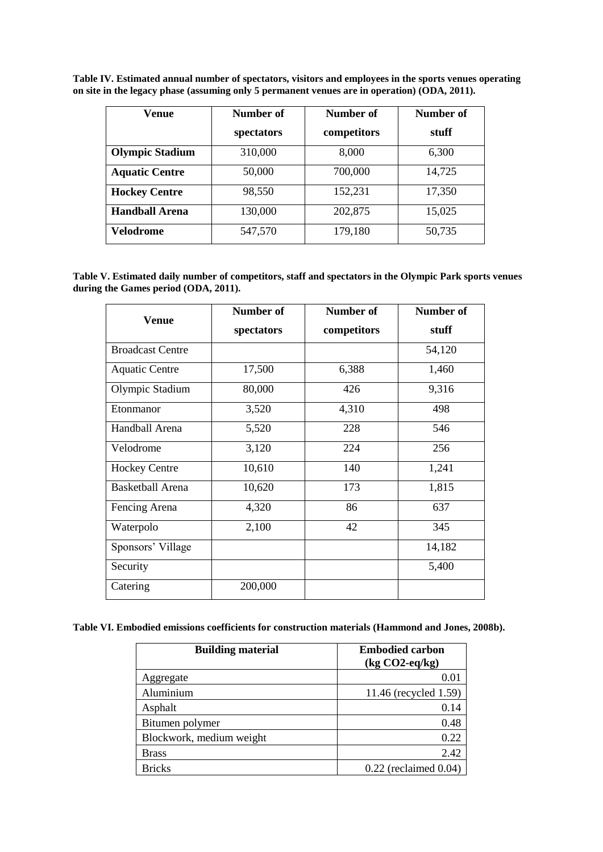**Table IV. Estimated annual number of spectators, visitors and employees in the sports venues operating on site in the legacy phase (assuming only 5 permanent venues are in operation) (ODA, 2011).** 

| Venue                  | Number of  | Number of   | Number of |
|------------------------|------------|-------------|-----------|
|                        | spectators | competitors | stuff     |
| <b>Olympic Stadium</b> | 310,000    | 8,000       | 6,300     |
| <b>Aquatic Centre</b>  | 50,000     | 700,000     | 14,725    |
| <b>Hockey Centre</b>   | 98,550     | 152,231     | 17,350    |
| <b>Handball Arena</b>  | 130,000    | 202,875     | 15,025    |
| Velodrome              | 547,570    | 179,180     | 50,735    |

**Table V. Estimated daily number of competitors, staff and spectators in the Olympic Park sports venues during the Games period (ODA, 2011).** 

|                         | Number of  | Number of   | <b>Number of</b> |
|-------------------------|------------|-------------|------------------|
| <b>Venue</b>            | spectators | competitors | stuff            |
| <b>Broadcast Centre</b> |            |             | 54,120           |
| <b>Aquatic Centre</b>   | 17,500     | 6,388       | 1,460            |
| Olympic Stadium         | 80,000     | 426         | 9,316            |
| Etonmanor               | 3,520      | 4,310       | 498              |
| Handball Arena          | 5,520      | 228         | 546              |
| Velodrome               | 3,120      | 224         | 256              |
| <b>Hockey Centre</b>    | 10,610     | 140         | 1,241            |
| <b>Basketball Arena</b> | 10,620     | 173         | 1,815            |
| Fencing Arena           | 4,320      | 86          | 637              |
| Waterpolo               | 2,100      | 42          | 345              |
| Sponsors' Village       |            |             | 14,182           |
| Security                |            |             | 5,400            |
| Catering                | 200,000    |             |                  |

**Table VI. Embodied emissions coefficients for construction materials (Hammond and Jones, 2008b).**

| <b>Building material</b> | <b>Embodied carbon</b><br>$(kg CO2-eq/kg)$ |
|--------------------------|--------------------------------------------|
| Aggregate                | 0.01                                       |
| Aluminium                | 11.46 (recycled 1.59)                      |
| Asphalt                  | 0.14                                       |
| Bitumen polymer          | 0.48                                       |
| Blockwork, medium weight | 0.22                                       |
| <b>Brass</b>             | 2.42                                       |
| <b>Bricks</b>            | $0.22$ (reclaimed $0.04$ )                 |